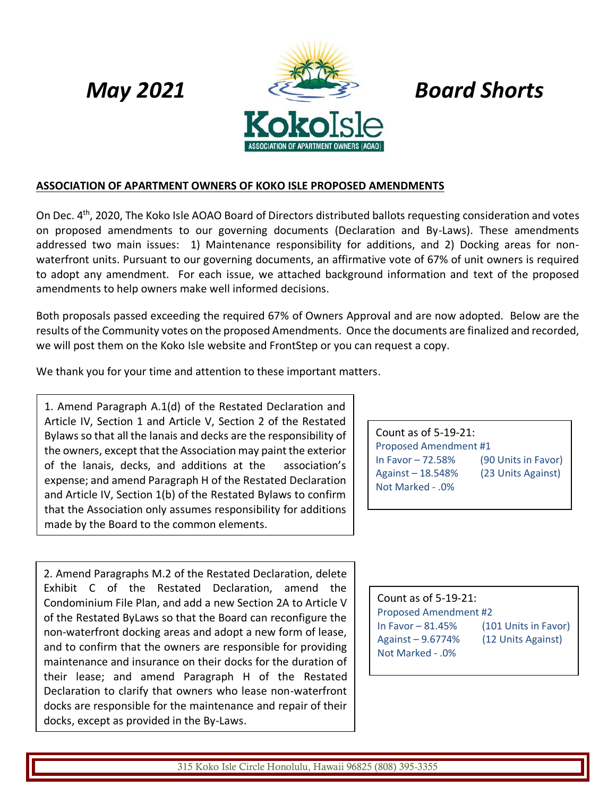

# **ASSOCIATION OF APARTMENT OWNERS OF KOKO ISLE PROPOSED AMENDMENTS**

On Dec. 4<sup>th</sup>, 2020, The Koko Isle AOAO Board of Directors distributed ballots requesting consideration and votes on proposed amendments to our governing documents (Declaration and By-Laws). These amendments addressed two main issues: 1) Maintenance responsibility for additions, and 2) Docking areas for nonwaterfront units. Pursuant to our governing documents, an affirmative vote of 67% of unit owners is required to adopt any amendment. For each issue, we attached background information and text of the proposed amendments to help owners make well informed decisions.

Both proposals passed exceeding the required 67% of Owners Approval and are now adopted. Below are the results of the Community votes on the proposed Amendments. Once the documents are finalized and recorded, we will post them on the Koko Isle website and FrontStep or you can request a copy.

We thank you for your time and attention to these important matters.

1. Amend Paragraph A.1(d) of the Restated Declaration and Article IV, Section 1 and Article V, Section 2 of the Restated Bylaws so that all the lanais and decks are the responsibility of the owners, except that the Association may paint the exterior of the lanais, decks, and additions at the association's expense; and amend Paragraph H of the Restated Declaration and Article IV, Section 1(b) of the Restated Bylaws to confirm that the Association only assumes responsibility for additions made by the Board to the common elements.

2. Amend Paragraphs M.2 of the Restated Declaration, delete Exhibit C of the Restated Declaration, amend the Condominium File Plan, and add a new Section 2A to Article V of the Restated ByLaws so that the Board can reconfigure the non-waterfront docking areas and adopt a new form of lease, and to confirm that the owners are responsible for providing maintenance and insurance on their docks for the duration of their lease; and amend Paragraph H of the Restated Declaration to clarify that owners who lease non-waterfront docks are responsible for the maintenance and repair of their docks, except as provided in the By-Laws.

Count as of 5-19-21: Proposed Amendment #1 In Favor – 72.58% (90 Units in Favor) Against – 18.548% (23 Units Against) Not Marked - .0%

Count as of 5-19-21: Proposed Amendment #2 In Favor – 81.45% (101 Units in Favor) Against – 9.6774% (12 Units Against) Not Marked - .0%